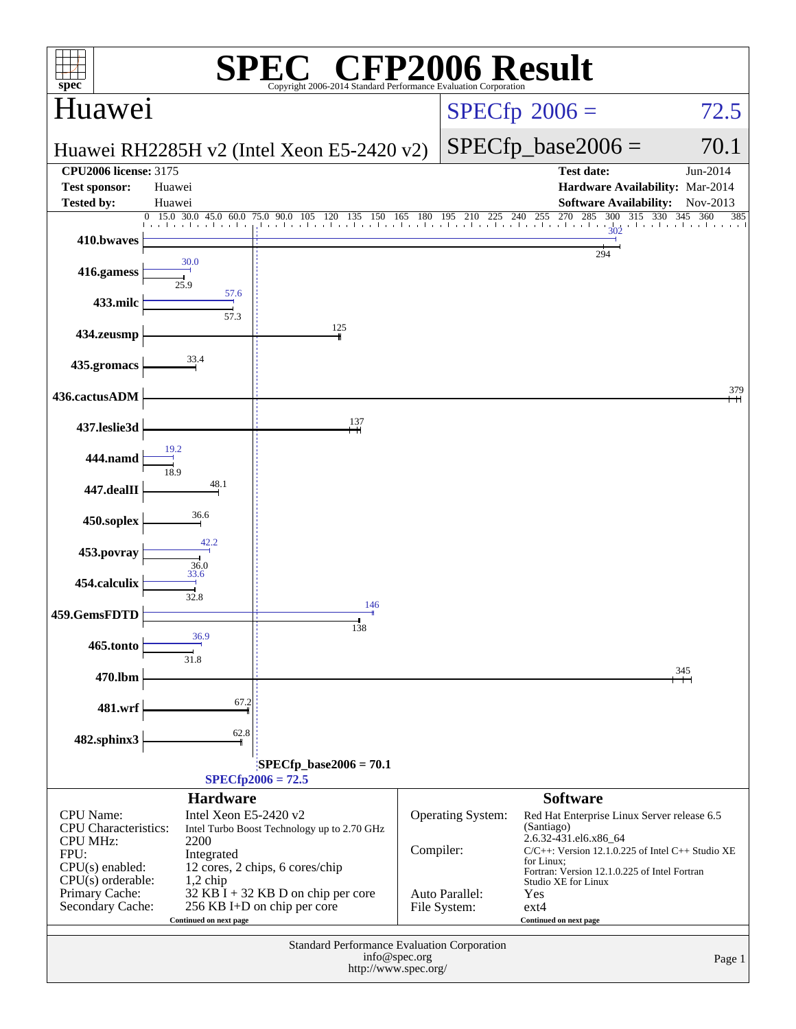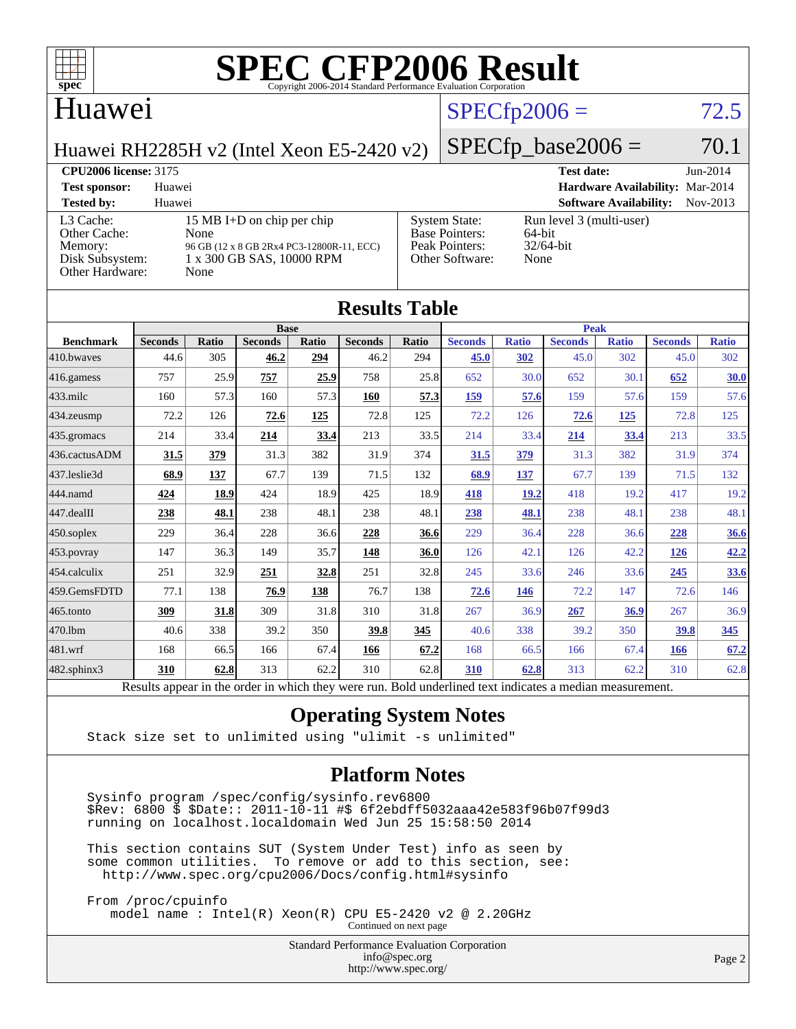

#### Huawei

[Other Cache:](http://www.spec.org/auto/cpu2006/Docs/result-fields.html#OtherCache)

### $SPECfp2006 = 72.5$  $SPECfp2006 = 72.5$

[Base Pointers:](http://www.spec.org/auto/cpu2006/Docs/result-fields.html#BasePointers) 64-bit<br>Peak Pointers: 32/64-bit

[Other Software:](http://www.spec.org/auto/cpu2006/Docs/result-fields.html#OtherSoftware) None

[Peak Pointers:](http://www.spec.org/auto/cpu2006/Docs/result-fields.html#PeakPointers)

Huawei RH2285H v2 (Intel Xeon E5-2420 v2)

[L3 Cache:](http://www.spec.org/auto/cpu2006/Docs/result-fields.html#L3Cache) 15 MB I+D on chip per chip<br>Other Cache: None

[Memory:](http://www.spec.org/auto/cpu2006/Docs/result-fields.html#Memory) 96 GB (12 x 8 GB 2Rx4 PC3-12800R-11, ECC) [Disk Subsystem:](http://www.spec.org/auto/cpu2006/Docs/result-fields.html#DiskSubsystem) 1 x 300 GB SAS, 10000 RPM

 $SPECfp\_base2006 = 70.1$ **[CPU2006 license:](http://www.spec.org/auto/cpu2006/Docs/result-fields.html#CPU2006license)** 3175 **[Test date:](http://www.spec.org/auto/cpu2006/Docs/result-fields.html#Testdate)** Jun-2014 **[Test sponsor:](http://www.spec.org/auto/cpu2006/Docs/result-fields.html#Testsponsor)** Huawei **[Hardware Availability:](http://www.spec.org/auto/cpu2006/Docs/result-fields.html#HardwareAvailability)** Mar-2014 **[Tested by:](http://www.spec.org/auto/cpu2006/Docs/result-fields.html#Testedby)** Huawei **[Software Availability:](http://www.spec.org/auto/cpu2006/Docs/result-fields.html#SoftwareAvailability)** Nov-2013 [System State:](http://www.spec.org/auto/cpu2006/Docs/result-fields.html#SystemState) Run level 3 (multi-user)<br>Base Pointers: 64-bit

| Other Hardware:                                                                                          |                | None         |                |       |                |             |                |              |                |              |                |              |
|----------------------------------------------------------------------------------------------------------|----------------|--------------|----------------|-------|----------------|-------------|----------------|--------------|----------------|--------------|----------------|--------------|
| <b>Results Table</b>                                                                                     |                |              |                |       |                |             |                |              |                |              |                |              |
| <b>Base</b>                                                                                              |                |              |                |       |                | <b>Peak</b> |                |              |                |              |                |              |
| <b>Benchmark</b>                                                                                         | <b>Seconds</b> | <b>Ratio</b> | <b>Seconds</b> | Ratio | <b>Seconds</b> | Ratio       | <b>Seconds</b> | <b>Ratio</b> | <b>Seconds</b> | <b>Ratio</b> | <b>Seconds</b> | <b>Ratio</b> |
| 410.bwayes                                                                                               | 44.6           | 305          | 46.2           | 294   | 46.2           | 294         | 45.0           | 302          | 45.0           | 302          | 45.0           | 302          |
| 416.gamess                                                                                               | 757            | 25.9         | 757            | 25.9  | 758            | 25.8        | 652            | 30.0         | 652            | 30.1         | 652            | 30.0         |
| $433$ .milc                                                                                              | 160            | 57.3         | 160            | 57.3  | 160            | 57.3        | 159            | 57.6         | 159            | 57.6         | 159            | 57.6         |
| 434.zeusmp                                                                                               | 72.2           | 126          | 72.6           | 125   | 72.8           | 125         | 72.2           | 126          | 72.6           | 125          | 72.8           | 125          |
| 435.gromacs                                                                                              | 214            | 33.4         | 214            | 33.4  | 213            | 33.5        | 214            | 33.4         | 214            | 33.4         | 213            | 33.5         |
| 436.cactusADM                                                                                            | 31.5           | 379          | 31.3           | 382   | 31.9           | 374         | 31.5           | 379          | 31.3           | 382          | 31.9           | 374          |
| 437.leslie3d                                                                                             | 68.9           | 137          | 67.7           | 139   | 71.5           | 132         | 68.9           | 137          | 67.7           | 139          | 71.5           | 132          |
| 444.namd                                                                                                 | 424            | 18.9         | 424            | 18.9  | 425            | 18.9        | 418            | <b>19.2</b>  | 418            | 19.2         | 417            | 19.2         |
| 447.dealII                                                                                               | 238            | 48.1         | 238            | 48.1  | 238            | 48.1        | 238            | 48.1         | 238            | 48.1         | 238            | 48.1         |
| 450.soplex                                                                                               | 229            | 36.4         | 228            | 36.6  | 228            | 36.6        | 229            | 36.4         | 228            | 36.6         | 228            | 36.6         |
| 453.povray                                                                                               | 147            | 36.3         | 149            | 35.7  | 148            | 36.0        | 126            | 42.1         | 126            | 42.2         | 126            | 42.2         |
| 454.calculix                                                                                             | 251            | 32.9         | 251            | 32.8  | 251            | 32.8        | 245            | 33.6         | 246            | 33.6         | 245            | 33.6         |
| 459.GemsFDTD                                                                                             | 77.1           | 138          | 76.9           | 138   | 76.7           | 138         | 72.6           | 146          | 72.2           | 147          | 72.6           | 146          |
| 465.tonto                                                                                                | 309            | 31.8         | 309            | 31.8  | 310            | 31.8        | 267            | 36.9         | 267            | 36.9         | 267            | 36.9         |
| 470.1bm                                                                                                  | 40.6           | 338          | 39.2           | 350   | 39.8           | 345         | 40.6           | 338          | 39.2           | 350          | 39.8           | 345          |
| 481.wrf                                                                                                  | 168            | 66.5         | 166            | 67.4  | 166            | 67.2        | 168            | 66.5         | 166            | 67.4         | 166            | 67.2         |
| 482.sphinx3                                                                                              | 310            | 62.8         | 313            | 62.2  | 310            | 62.8        | 310            | 62.8         | 313            | 62.2         | 310            | 62.8         |
| Results appear in the order in which they were run. Bold underlined text indicates a median measurement. |                |              |                |       |                |             |                |              |                |              |                |              |

#### **[Operating System Notes](http://www.spec.org/auto/cpu2006/Docs/result-fields.html#OperatingSystemNotes)**

Stack size set to unlimited using "ulimit -s unlimited"

#### **[Platform Notes](http://www.spec.org/auto/cpu2006/Docs/result-fields.html#PlatformNotes)**

 Sysinfo program /spec/config/sysinfo.rev6800 \$Rev: 6800 \$ \$Date:: 2011-10-11 #\$ 6f2ebdff5032aaa42e583f96b07f99d3 running on localhost.localdomain Wed Jun 25 15:58:50 2014

 This section contains SUT (System Under Test) info as seen by some common utilities. To remove or add to this section, see: <http://www.spec.org/cpu2006/Docs/config.html#sysinfo>

 From /proc/cpuinfo model name : Intel(R) Xeon(R) CPU E5-2420 v2 @ 2.20GHz

Continued on next page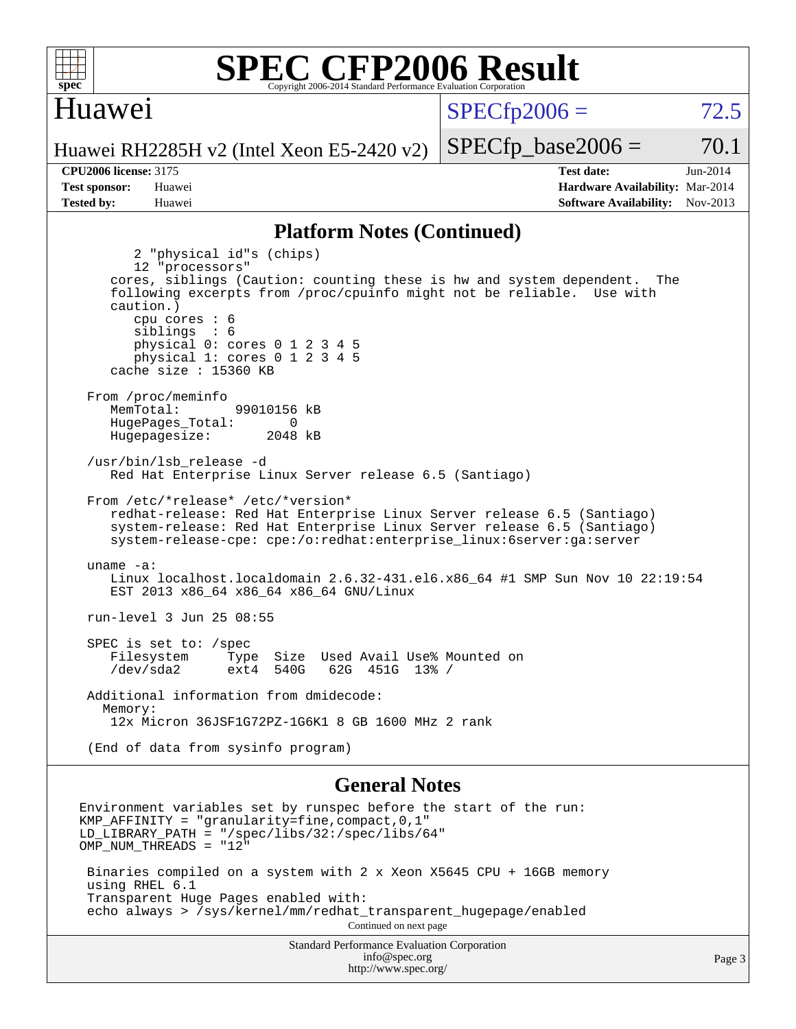

#### Huawei

 $SPECTp2006 = 72.5$ 

Huawei RH2285H v2 (Intel Xeon E5-2420 v2)

**[Tested by:](http://www.spec.org/auto/cpu2006/Docs/result-fields.html#Testedby)** Huawei **[Software Availability:](http://www.spec.org/auto/cpu2006/Docs/result-fields.html#SoftwareAvailability)** Nov-2013

**[CPU2006 license:](http://www.spec.org/auto/cpu2006/Docs/result-fields.html#CPU2006license)** 3175 **[Test date:](http://www.spec.org/auto/cpu2006/Docs/result-fields.html#Testdate)** Jun-2014 **[Test sponsor:](http://www.spec.org/auto/cpu2006/Docs/result-fields.html#Testsponsor)** Huawei **[Hardware Availability:](http://www.spec.org/auto/cpu2006/Docs/result-fields.html#HardwareAvailability)** Mar-2014

 $SPECTp\_base2006 = 70.1$ 

#### **[Platform Notes \(Continued\)](http://www.spec.org/auto/cpu2006/Docs/result-fields.html#PlatformNotes)**

 2 "physical id"s (chips) 12 "processors" cores, siblings (Caution: counting these is hw and system dependent. The following excerpts from /proc/cpuinfo might not be reliable. Use with caution.) cpu cores : 6 siblings : 6 physical 0: cores 0 1 2 3 4 5 physical 1: cores 0 1 2 3 4 5 cache size : 15360 KB From /proc/meminfo MemTotal: 99010156 kB HugePages\_Total: 0<br>Hugepagesize: 2048 kB Hugepagesize: /usr/bin/lsb\_release -d Red Hat Enterprise Linux Server release 6.5 (Santiago) From /etc/\*release\* /etc/\*version\* redhat-release: Red Hat Enterprise Linux Server release 6.5 (Santiago) system-release: Red Hat Enterprise Linux Server release 6.5 (Santiago) system-release-cpe: cpe:/o:redhat:enterprise\_linux:6server:ga:server uname -a: Linux localhost.localdomain 2.6.32-431.el6.x86\_64 #1 SMP Sun Nov 10 22:19:54 EST 2013 x86\_64 x86\_64 x86\_64 GNU/Linux run-level 3 Jun 25 08:55 SPEC is set to: /spec<br>Filesystem Type Type Size Used Avail Use% Mounted on<br>ext4 540G 62G 451G 13% / /dev/sda2 ext4 540G 62G 451G 13% / Additional information from dmidecode: Memory: 12x Micron 36JSF1G72PZ-1G6K1 8 GB 1600 MHz 2 rank (End of data from sysinfo program)

#### **[General Notes](http://www.spec.org/auto/cpu2006/Docs/result-fields.html#GeneralNotes)**

Environment variables set by runspec before the start of the run: KMP AFFINITY = "granularity=fine, compact,  $0,1$ " LD\_LIBRARY\_PATH = "/spec/libs/32:/spec/libs/64" OMP NUM THREADS = "12" Binaries compiled on a system with 2 x Xeon X5645 CPU + 16GB memory using RHEL 6.1 Transparent Huge Pages enabled with: echo always > /sys/kernel/mm/redhat\_transparent\_hugepage/enabled Continued on next page

Standard Performance Evaluation Corporation [info@spec.org](mailto:info@spec.org) <http://www.spec.org/>

Page 3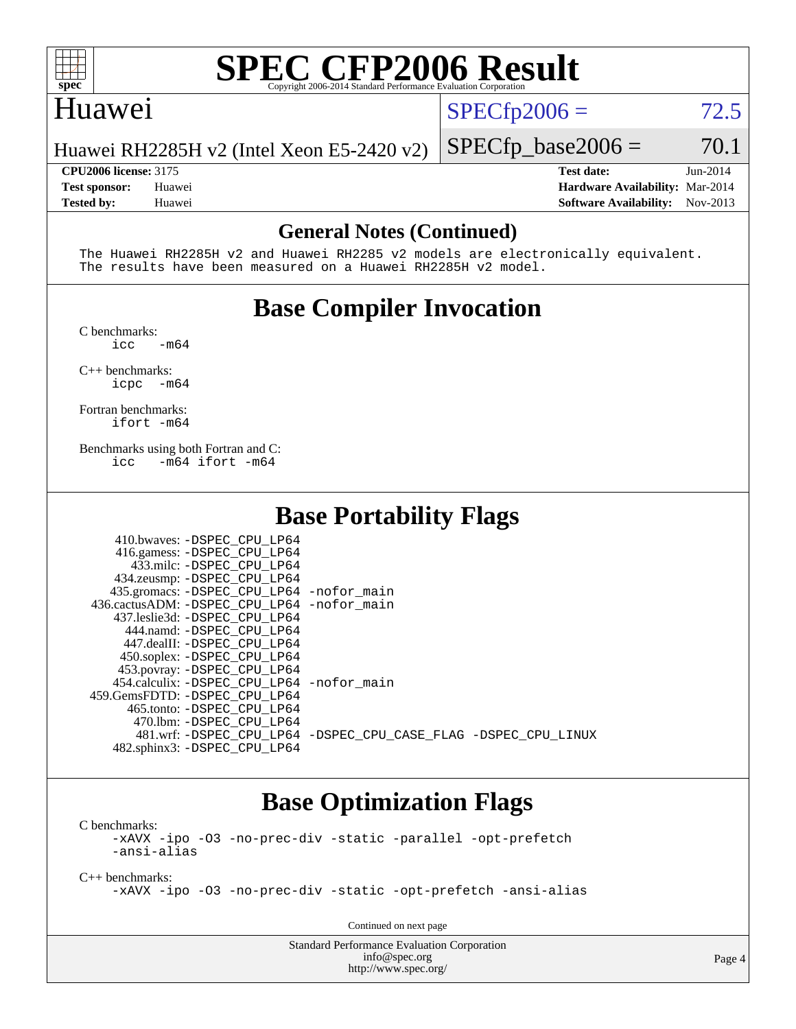

#### Huawei

 $SPECfp2006 = 72.5$  $SPECfp2006 = 72.5$ 

Huawei RH2285H v2 (Intel Xeon E5-2420 v2)

**[CPU2006 license:](http://www.spec.org/auto/cpu2006/Docs/result-fields.html#CPU2006license)** 3175 **[Test date:](http://www.spec.org/auto/cpu2006/Docs/result-fields.html#Testdate)** Jun-2014 **[Test sponsor:](http://www.spec.org/auto/cpu2006/Docs/result-fields.html#Testsponsor)** Huawei **[Hardware Availability:](http://www.spec.org/auto/cpu2006/Docs/result-fields.html#HardwareAvailability)** Mar-2014 **[Tested by:](http://www.spec.org/auto/cpu2006/Docs/result-fields.html#Testedby)** Huawei **[Software Availability:](http://www.spec.org/auto/cpu2006/Docs/result-fields.html#SoftwareAvailability)** Nov-2013

 $SPECTp\_base2006 = 70.1$ 

#### **[General Notes \(Continued\)](http://www.spec.org/auto/cpu2006/Docs/result-fields.html#GeneralNotes)**

The Huawei RH2285H v2 and Huawei RH2285 v2 models are electronically equivalent. The results have been measured on a Huawei RH2285H v2 model.

## **[Base Compiler Invocation](http://www.spec.org/auto/cpu2006/Docs/result-fields.html#BaseCompilerInvocation)**

[C benchmarks](http://www.spec.org/auto/cpu2006/Docs/result-fields.html#Cbenchmarks):  $\frac{1}{2}$ cc  $-\text{m64}$ 

[C++ benchmarks:](http://www.spec.org/auto/cpu2006/Docs/result-fields.html#CXXbenchmarks) [icpc -m64](http://www.spec.org/cpu2006/results/res2014q3/cpu2006-20140626-30037.flags.html#user_CXXbase_intel_icpc_64bit_bedb90c1146cab66620883ef4f41a67e)

[Fortran benchmarks](http://www.spec.org/auto/cpu2006/Docs/result-fields.html#Fortranbenchmarks): [ifort -m64](http://www.spec.org/cpu2006/results/res2014q3/cpu2006-20140626-30037.flags.html#user_FCbase_intel_ifort_64bit_ee9d0fb25645d0210d97eb0527dcc06e)

[Benchmarks using both Fortran and C](http://www.spec.org/auto/cpu2006/Docs/result-fields.html#BenchmarksusingbothFortranandC): [icc -m64](http://www.spec.org/cpu2006/results/res2014q3/cpu2006-20140626-30037.flags.html#user_CC_FCbase_intel_icc_64bit_0b7121f5ab7cfabee23d88897260401c) [ifort -m64](http://www.spec.org/cpu2006/results/res2014q3/cpu2006-20140626-30037.flags.html#user_CC_FCbase_intel_ifort_64bit_ee9d0fb25645d0210d97eb0527dcc06e)

#### **[Base Portability Flags](http://www.spec.org/auto/cpu2006/Docs/result-fields.html#BasePortabilityFlags)**

| 410.bwaves: -DSPEC CPU LP64                 |                                                                |
|---------------------------------------------|----------------------------------------------------------------|
| 416.gamess: -DSPEC_CPU_LP64                 |                                                                |
| 433.milc: -DSPEC CPU LP64                   |                                                                |
| 434.zeusmp: -DSPEC_CPU_LP64                 |                                                                |
| 435.gromacs: -DSPEC_CPU_LP64 -nofor_main    |                                                                |
| 436.cactusADM: -DSPEC_CPU_LP64 -nofor main  |                                                                |
| 437.leslie3d: -DSPEC CPU LP64               |                                                                |
| 444.namd: -DSPEC CPU LP64                   |                                                                |
| 447.dealII: -DSPEC_CPU LP64                 |                                                                |
| 450.soplex: -DSPEC CPU LP64                 |                                                                |
| 453.povray: -DSPEC_CPU_LP64                 |                                                                |
| 454.calculix: - DSPEC CPU LP64 - nofor main |                                                                |
| 459. GemsFDTD: - DSPEC CPU LP64             |                                                                |
| 465.tonto: -DSPEC CPU LP64                  |                                                                |
| 470.1bm: - DSPEC CPU LP64                   |                                                                |
|                                             | 481.wrf: -DSPEC CPU_LP64 -DSPEC_CPU_CASE_FLAG -DSPEC_CPU_LINUX |
| 482.sphinx3: -DSPEC_CPU_LP64                |                                                                |

#### **[Base Optimization Flags](http://www.spec.org/auto/cpu2006/Docs/result-fields.html#BaseOptimizationFlags)**

[C benchmarks](http://www.spec.org/auto/cpu2006/Docs/result-fields.html#Cbenchmarks): [-xAVX](http://www.spec.org/cpu2006/results/res2014q3/cpu2006-20140626-30037.flags.html#user_CCbase_f-xAVX) [-ipo](http://www.spec.org/cpu2006/results/res2014q3/cpu2006-20140626-30037.flags.html#user_CCbase_f-ipo) [-O3](http://www.spec.org/cpu2006/results/res2014q3/cpu2006-20140626-30037.flags.html#user_CCbase_f-O3) [-no-prec-div](http://www.spec.org/cpu2006/results/res2014q3/cpu2006-20140626-30037.flags.html#user_CCbase_f-no-prec-div) [-static](http://www.spec.org/cpu2006/results/res2014q3/cpu2006-20140626-30037.flags.html#user_CCbase_f-static) [-parallel](http://www.spec.org/cpu2006/results/res2014q3/cpu2006-20140626-30037.flags.html#user_CCbase_f-parallel) [-opt-prefetch](http://www.spec.org/cpu2006/results/res2014q3/cpu2006-20140626-30037.flags.html#user_CCbase_f-opt-prefetch) [-ansi-alias](http://www.spec.org/cpu2006/results/res2014q3/cpu2006-20140626-30037.flags.html#user_CCbase_f-ansi-alias)

[C++ benchmarks:](http://www.spec.org/auto/cpu2006/Docs/result-fields.html#CXXbenchmarks) [-xAVX](http://www.spec.org/cpu2006/results/res2014q3/cpu2006-20140626-30037.flags.html#user_CXXbase_f-xAVX) [-ipo](http://www.spec.org/cpu2006/results/res2014q3/cpu2006-20140626-30037.flags.html#user_CXXbase_f-ipo) [-O3](http://www.spec.org/cpu2006/results/res2014q3/cpu2006-20140626-30037.flags.html#user_CXXbase_f-O3) [-no-prec-div](http://www.spec.org/cpu2006/results/res2014q3/cpu2006-20140626-30037.flags.html#user_CXXbase_f-no-prec-div) [-static](http://www.spec.org/cpu2006/results/res2014q3/cpu2006-20140626-30037.flags.html#user_CXXbase_f-static) [-opt-prefetch](http://www.spec.org/cpu2006/results/res2014q3/cpu2006-20140626-30037.flags.html#user_CXXbase_f-opt-prefetch) [-ansi-alias](http://www.spec.org/cpu2006/results/res2014q3/cpu2006-20140626-30037.flags.html#user_CXXbase_f-ansi-alias)

Continued on next page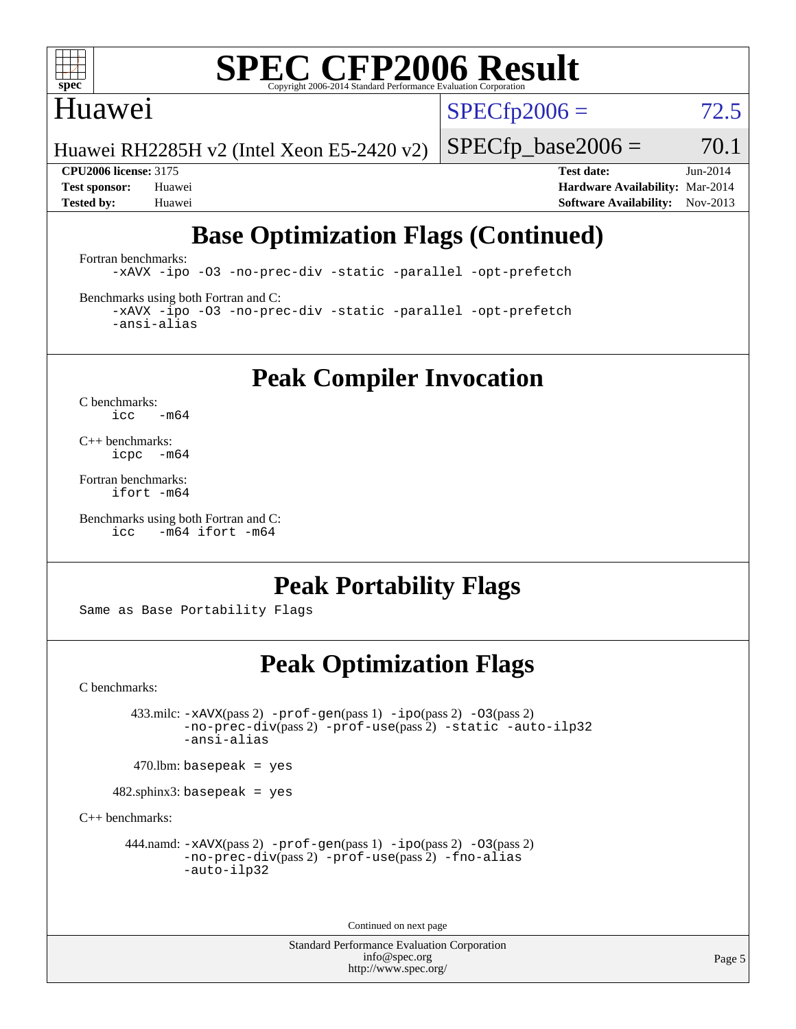

### Huawei

 $SPECTp2006 = 72.5$ 

Huawei RH2285H v2 (Intel Xeon E5-2420 v2)

 $SPECTp\_base2006 = 70.1$ 

**[CPU2006 license:](http://www.spec.org/auto/cpu2006/Docs/result-fields.html#CPU2006license)** 3175 **[Test date:](http://www.spec.org/auto/cpu2006/Docs/result-fields.html#Testdate)** Jun-2014 **[Test sponsor:](http://www.spec.org/auto/cpu2006/Docs/result-fields.html#Testsponsor)** Huawei **[Hardware Availability:](http://www.spec.org/auto/cpu2006/Docs/result-fields.html#HardwareAvailability)** Mar-2014 **[Tested by:](http://www.spec.org/auto/cpu2006/Docs/result-fields.html#Testedby)** Huawei **[Software Availability:](http://www.spec.org/auto/cpu2006/Docs/result-fields.html#SoftwareAvailability)** Nov-2013

## **[Base Optimization Flags \(Continued\)](http://www.spec.org/auto/cpu2006/Docs/result-fields.html#BaseOptimizationFlags)**

[Fortran benchmarks](http://www.spec.org/auto/cpu2006/Docs/result-fields.html#Fortranbenchmarks):

[-xAVX](http://www.spec.org/cpu2006/results/res2014q3/cpu2006-20140626-30037.flags.html#user_FCbase_f-xAVX) [-ipo](http://www.spec.org/cpu2006/results/res2014q3/cpu2006-20140626-30037.flags.html#user_FCbase_f-ipo) [-O3](http://www.spec.org/cpu2006/results/res2014q3/cpu2006-20140626-30037.flags.html#user_FCbase_f-O3) [-no-prec-div](http://www.spec.org/cpu2006/results/res2014q3/cpu2006-20140626-30037.flags.html#user_FCbase_f-no-prec-div) [-static](http://www.spec.org/cpu2006/results/res2014q3/cpu2006-20140626-30037.flags.html#user_FCbase_f-static) [-parallel](http://www.spec.org/cpu2006/results/res2014q3/cpu2006-20140626-30037.flags.html#user_FCbase_f-parallel) [-opt-prefetch](http://www.spec.org/cpu2006/results/res2014q3/cpu2006-20140626-30037.flags.html#user_FCbase_f-opt-prefetch)

[Benchmarks using both Fortran and C](http://www.spec.org/auto/cpu2006/Docs/result-fields.html#BenchmarksusingbothFortranandC):

[-xAVX](http://www.spec.org/cpu2006/results/res2014q3/cpu2006-20140626-30037.flags.html#user_CC_FCbase_f-xAVX) [-ipo](http://www.spec.org/cpu2006/results/res2014q3/cpu2006-20140626-30037.flags.html#user_CC_FCbase_f-ipo) [-O3](http://www.spec.org/cpu2006/results/res2014q3/cpu2006-20140626-30037.flags.html#user_CC_FCbase_f-O3) [-no-prec-div](http://www.spec.org/cpu2006/results/res2014q3/cpu2006-20140626-30037.flags.html#user_CC_FCbase_f-no-prec-div) [-static](http://www.spec.org/cpu2006/results/res2014q3/cpu2006-20140626-30037.flags.html#user_CC_FCbase_f-static) [-parallel](http://www.spec.org/cpu2006/results/res2014q3/cpu2006-20140626-30037.flags.html#user_CC_FCbase_f-parallel) [-opt-prefetch](http://www.spec.org/cpu2006/results/res2014q3/cpu2006-20140626-30037.flags.html#user_CC_FCbase_f-opt-prefetch) [-ansi-alias](http://www.spec.org/cpu2006/results/res2014q3/cpu2006-20140626-30037.flags.html#user_CC_FCbase_f-ansi-alias)

**[Peak Compiler Invocation](http://www.spec.org/auto/cpu2006/Docs/result-fields.html#PeakCompilerInvocation)**

[C benchmarks](http://www.spec.org/auto/cpu2006/Docs/result-fields.html#Cbenchmarks):  $\text{icc}$  -m64

[C++ benchmarks:](http://www.spec.org/auto/cpu2006/Docs/result-fields.html#CXXbenchmarks) [icpc -m64](http://www.spec.org/cpu2006/results/res2014q3/cpu2006-20140626-30037.flags.html#user_CXXpeak_intel_icpc_64bit_bedb90c1146cab66620883ef4f41a67e)

[Fortran benchmarks](http://www.spec.org/auto/cpu2006/Docs/result-fields.html#Fortranbenchmarks): [ifort -m64](http://www.spec.org/cpu2006/results/res2014q3/cpu2006-20140626-30037.flags.html#user_FCpeak_intel_ifort_64bit_ee9d0fb25645d0210d97eb0527dcc06e)

[Benchmarks using both Fortran and C](http://www.spec.org/auto/cpu2006/Docs/result-fields.html#BenchmarksusingbothFortranandC): [icc -m64](http://www.spec.org/cpu2006/results/res2014q3/cpu2006-20140626-30037.flags.html#user_CC_FCpeak_intel_icc_64bit_0b7121f5ab7cfabee23d88897260401c) [ifort -m64](http://www.spec.org/cpu2006/results/res2014q3/cpu2006-20140626-30037.flags.html#user_CC_FCpeak_intel_ifort_64bit_ee9d0fb25645d0210d97eb0527dcc06e)

## **[Peak Portability Flags](http://www.spec.org/auto/cpu2006/Docs/result-fields.html#PeakPortabilityFlags)**

Same as Base Portability Flags

## **[Peak Optimization Flags](http://www.spec.org/auto/cpu2006/Docs/result-fields.html#PeakOptimizationFlags)**

[C benchmarks](http://www.spec.org/auto/cpu2006/Docs/result-fields.html#Cbenchmarks):

 433.milc: [-xAVX](http://www.spec.org/cpu2006/results/res2014q3/cpu2006-20140626-30037.flags.html#user_peakPASS2_CFLAGSPASS2_LDFLAGS433_milc_f-xAVX)(pass 2) [-prof-gen](http://www.spec.org/cpu2006/results/res2014q3/cpu2006-20140626-30037.flags.html#user_peakPASS1_CFLAGSPASS1_LDFLAGS433_milc_prof_gen_e43856698f6ca7b7e442dfd80e94a8fc)(pass 1) [-ipo](http://www.spec.org/cpu2006/results/res2014q3/cpu2006-20140626-30037.flags.html#user_peakPASS2_CFLAGSPASS2_LDFLAGS433_milc_f-ipo)(pass 2) [-O3](http://www.spec.org/cpu2006/results/res2014q3/cpu2006-20140626-30037.flags.html#user_peakPASS2_CFLAGSPASS2_LDFLAGS433_milc_f-O3)(pass 2) [-no-prec-div](http://www.spec.org/cpu2006/results/res2014q3/cpu2006-20140626-30037.flags.html#user_peakPASS2_CFLAGSPASS2_LDFLAGS433_milc_f-no-prec-div)(pass 2) [-prof-use](http://www.spec.org/cpu2006/results/res2014q3/cpu2006-20140626-30037.flags.html#user_peakPASS2_CFLAGSPASS2_LDFLAGS433_milc_prof_use_bccf7792157ff70d64e32fe3e1250b55)(pass 2) [-static](http://www.spec.org/cpu2006/results/res2014q3/cpu2006-20140626-30037.flags.html#user_peakOPTIMIZE433_milc_f-static) [-auto-ilp32](http://www.spec.org/cpu2006/results/res2014q3/cpu2006-20140626-30037.flags.html#user_peakCOPTIMIZE433_milc_f-auto-ilp32) [-ansi-alias](http://www.spec.org/cpu2006/results/res2014q3/cpu2006-20140626-30037.flags.html#user_peakCOPTIMIZE433_milc_f-ansi-alias)

 $470$ .lbm: basepeak = yes

482.sphinx3: basepeak = yes

[C++ benchmarks:](http://www.spec.org/auto/cpu2006/Docs/result-fields.html#CXXbenchmarks)

444.namd:  $-x$ AVX(pass 2)  $-p$ rof-gen(pass 1)  $-p$ po(pass 2)  $-03$ (pass 2) [-no-prec-div](http://www.spec.org/cpu2006/results/res2014q3/cpu2006-20140626-30037.flags.html#user_peakPASS2_CXXFLAGSPASS2_LDFLAGS444_namd_f-no-prec-div)(pass 2) [-prof-use](http://www.spec.org/cpu2006/results/res2014q3/cpu2006-20140626-30037.flags.html#user_peakPASS2_CXXFLAGSPASS2_LDFLAGS444_namd_prof_use_bccf7792157ff70d64e32fe3e1250b55)(pass 2) [-fno-alias](http://www.spec.org/cpu2006/results/res2014q3/cpu2006-20140626-30037.flags.html#user_peakCXXOPTIMIZEOPTIMIZE444_namd_f-no-alias_694e77f6c5a51e658e82ccff53a9e63a) [-auto-ilp32](http://www.spec.org/cpu2006/results/res2014q3/cpu2006-20140626-30037.flags.html#user_peakCXXOPTIMIZE444_namd_f-auto-ilp32)

Continued on next page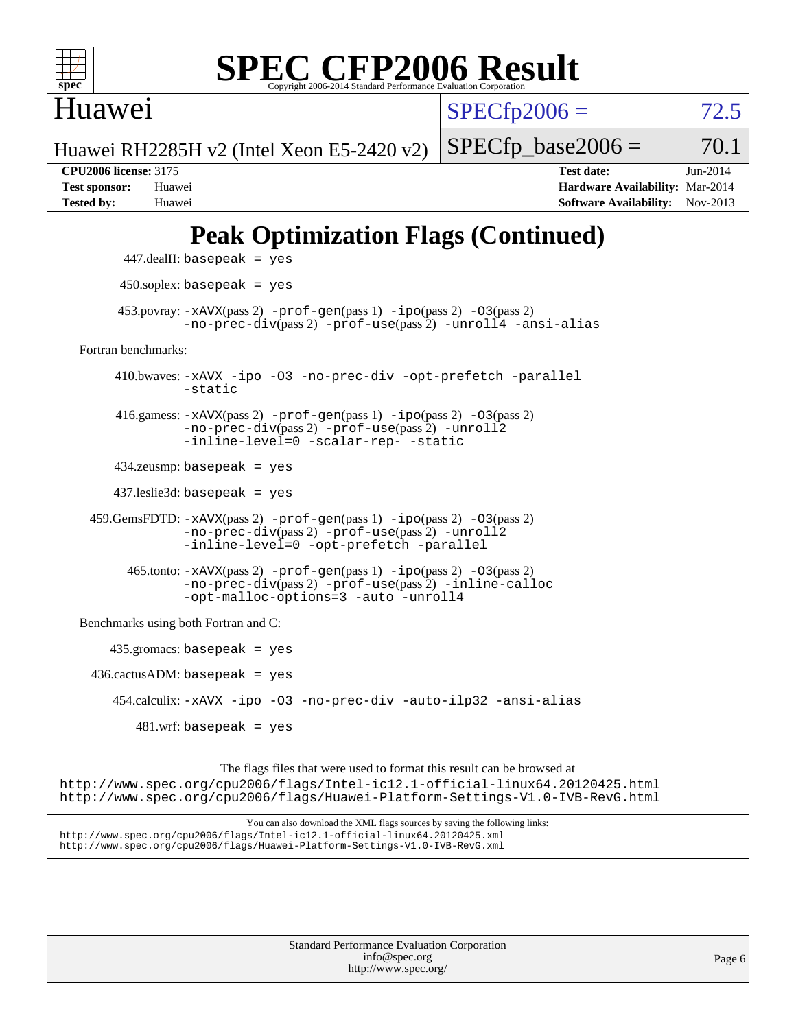

Huawei

## **[SPEC CFP2006 Result](http://www.spec.org/auto/cpu2006/Docs/result-fields.html#SPECCFP2006Result)**

 $SPECfp2006 = 72.5$  $SPECfp2006 = 72.5$ 

Huawei RH2285H v2 (Intel Xeon E5-2420 v2)

 $SPECTp\_base2006 = 70.1$ **[CPU2006 license:](http://www.spec.org/auto/cpu2006/Docs/result-fields.html#CPU2006license)** 3175 **[Test date:](http://www.spec.org/auto/cpu2006/Docs/result-fields.html#Testdate)** Jun-2014 **[Test sponsor:](http://www.spec.org/auto/cpu2006/Docs/result-fields.html#Testsponsor)** Huawei **[Hardware Availability:](http://www.spec.org/auto/cpu2006/Docs/result-fields.html#HardwareAvailability)** Mar-2014

## **[Peak Optimization Flags \(Continued\)](http://www.spec.org/auto/cpu2006/Docs/result-fields.html#PeakOptimizationFlags)**

**[Tested by:](http://www.spec.org/auto/cpu2006/Docs/result-fields.html#Testedby)** Huawei **[Software Availability:](http://www.spec.org/auto/cpu2006/Docs/result-fields.html#SoftwareAvailability)** Nov-2013

 447.dealII: basepeak = yes 450.soplex: basepeak = yes 453.povray:  $-x$ AVX(pass 2)  $-p$ rof-gen(pass 1)  $-i$ po(pass 2)  $-03$ (pass 2) [-no-prec-div](http://www.spec.org/cpu2006/results/res2014q3/cpu2006-20140626-30037.flags.html#user_peakPASS2_CXXFLAGSPASS2_LDFLAGS453_povray_f-no-prec-div)(pass 2) [-prof-use](http://www.spec.org/cpu2006/results/res2014q3/cpu2006-20140626-30037.flags.html#user_peakPASS2_CXXFLAGSPASS2_LDFLAGS453_povray_prof_use_bccf7792157ff70d64e32fe3e1250b55)(pass 2) [-unroll4](http://www.spec.org/cpu2006/results/res2014q3/cpu2006-20140626-30037.flags.html#user_peakCXXOPTIMIZE453_povray_f-unroll_4e5e4ed65b7fd20bdcd365bec371b81f) [-ansi-alias](http://www.spec.org/cpu2006/results/res2014q3/cpu2006-20140626-30037.flags.html#user_peakCXXOPTIMIZE453_povray_f-ansi-alias) [Fortran benchmarks](http://www.spec.org/auto/cpu2006/Docs/result-fields.html#Fortranbenchmarks): 410.bwaves: [-xAVX](http://www.spec.org/cpu2006/results/res2014q3/cpu2006-20140626-30037.flags.html#user_peakOPTIMIZE410_bwaves_f-xAVX) [-ipo](http://www.spec.org/cpu2006/results/res2014q3/cpu2006-20140626-30037.flags.html#user_peakOPTIMIZE410_bwaves_f-ipo) [-O3](http://www.spec.org/cpu2006/results/res2014q3/cpu2006-20140626-30037.flags.html#user_peakOPTIMIZE410_bwaves_f-O3) [-no-prec-div](http://www.spec.org/cpu2006/results/res2014q3/cpu2006-20140626-30037.flags.html#user_peakOPTIMIZE410_bwaves_f-no-prec-div) [-opt-prefetch](http://www.spec.org/cpu2006/results/res2014q3/cpu2006-20140626-30037.flags.html#user_peakOPTIMIZE410_bwaves_f-opt-prefetch) [-parallel](http://www.spec.org/cpu2006/results/res2014q3/cpu2006-20140626-30037.flags.html#user_peakOPTIMIZE410_bwaves_f-parallel) [-static](http://www.spec.org/cpu2006/results/res2014q3/cpu2006-20140626-30037.flags.html#user_peakOPTIMIZE410_bwaves_f-static) 416.gamess: [-xAVX](http://www.spec.org/cpu2006/results/res2014q3/cpu2006-20140626-30037.flags.html#user_peakPASS2_FFLAGSPASS2_LDFLAGS416_gamess_f-xAVX)(pass 2) [-prof-gen](http://www.spec.org/cpu2006/results/res2014q3/cpu2006-20140626-30037.flags.html#user_peakPASS1_FFLAGSPASS1_LDFLAGS416_gamess_prof_gen_e43856698f6ca7b7e442dfd80e94a8fc)(pass 1) [-ipo](http://www.spec.org/cpu2006/results/res2014q3/cpu2006-20140626-30037.flags.html#user_peakPASS2_FFLAGSPASS2_LDFLAGS416_gamess_f-ipo)(pass 2) [-O3](http://www.spec.org/cpu2006/results/res2014q3/cpu2006-20140626-30037.flags.html#user_peakPASS2_FFLAGSPASS2_LDFLAGS416_gamess_f-O3)(pass 2) [-no-prec-div](http://www.spec.org/cpu2006/results/res2014q3/cpu2006-20140626-30037.flags.html#user_peakPASS2_FFLAGSPASS2_LDFLAGS416_gamess_f-no-prec-div)(pass 2) [-prof-use](http://www.spec.org/cpu2006/results/res2014q3/cpu2006-20140626-30037.flags.html#user_peakPASS2_FFLAGSPASS2_LDFLAGS416_gamess_prof_use_bccf7792157ff70d64e32fe3e1250b55)(pass 2) [-unroll2](http://www.spec.org/cpu2006/results/res2014q3/cpu2006-20140626-30037.flags.html#user_peakOPTIMIZE416_gamess_f-unroll_784dae83bebfb236979b41d2422d7ec2) [-inline-level=0](http://www.spec.org/cpu2006/results/res2014q3/cpu2006-20140626-30037.flags.html#user_peakOPTIMIZE416_gamess_f-inline-level_318d07a09274ad25e8d15dbfaa68ba50) [-scalar-rep-](http://www.spec.org/cpu2006/results/res2014q3/cpu2006-20140626-30037.flags.html#user_peakOPTIMIZE416_gamess_f-disablescalarrep_abbcad04450fb118e4809c81d83c8a1d) [-static](http://www.spec.org/cpu2006/results/res2014q3/cpu2006-20140626-30037.flags.html#user_peakOPTIMIZE416_gamess_f-static) 434.zeusmp: basepeak = yes 437.leslie3d: basepeak = yes 459.GemsFDTD: [-xAVX](http://www.spec.org/cpu2006/results/res2014q3/cpu2006-20140626-30037.flags.html#user_peakPASS2_FFLAGSPASS2_LDFLAGS459_GemsFDTD_f-xAVX)(pass 2) [-prof-gen](http://www.spec.org/cpu2006/results/res2014q3/cpu2006-20140626-30037.flags.html#user_peakPASS1_FFLAGSPASS1_LDFLAGS459_GemsFDTD_prof_gen_e43856698f6ca7b7e442dfd80e94a8fc)(pass 1) [-ipo](http://www.spec.org/cpu2006/results/res2014q3/cpu2006-20140626-30037.flags.html#user_peakPASS2_FFLAGSPASS2_LDFLAGS459_GemsFDTD_f-ipo)(pass 2) [-O3](http://www.spec.org/cpu2006/results/res2014q3/cpu2006-20140626-30037.flags.html#user_peakPASS2_FFLAGSPASS2_LDFLAGS459_GemsFDTD_f-O3)(pass 2) [-no-prec-div](http://www.spec.org/cpu2006/results/res2014q3/cpu2006-20140626-30037.flags.html#user_peakPASS2_FFLAGSPASS2_LDFLAGS459_GemsFDTD_f-no-prec-div)(pass 2) [-prof-use](http://www.spec.org/cpu2006/results/res2014q3/cpu2006-20140626-30037.flags.html#user_peakPASS2_FFLAGSPASS2_LDFLAGS459_GemsFDTD_prof_use_bccf7792157ff70d64e32fe3e1250b55)(pass 2) [-unroll2](http://www.spec.org/cpu2006/results/res2014q3/cpu2006-20140626-30037.flags.html#user_peakOPTIMIZE459_GemsFDTD_f-unroll_784dae83bebfb236979b41d2422d7ec2) [-inline-level=0](http://www.spec.org/cpu2006/results/res2014q3/cpu2006-20140626-30037.flags.html#user_peakOPTIMIZE459_GemsFDTD_f-inline-level_318d07a09274ad25e8d15dbfaa68ba50) [-opt-prefetch](http://www.spec.org/cpu2006/results/res2014q3/cpu2006-20140626-30037.flags.html#user_peakOPTIMIZE459_GemsFDTD_f-opt-prefetch) [-parallel](http://www.spec.org/cpu2006/results/res2014q3/cpu2006-20140626-30037.flags.html#user_peakOPTIMIZE459_GemsFDTD_f-parallel) 465.tonto: [-xAVX](http://www.spec.org/cpu2006/results/res2014q3/cpu2006-20140626-30037.flags.html#user_peakPASS2_FFLAGSPASS2_LDFLAGS465_tonto_f-xAVX)(pass 2) [-prof-gen](http://www.spec.org/cpu2006/results/res2014q3/cpu2006-20140626-30037.flags.html#user_peakPASS1_FFLAGSPASS1_LDFLAGS465_tonto_prof_gen_e43856698f6ca7b7e442dfd80e94a8fc)(pass 1) [-ipo](http://www.spec.org/cpu2006/results/res2014q3/cpu2006-20140626-30037.flags.html#user_peakPASS2_FFLAGSPASS2_LDFLAGS465_tonto_f-ipo)(pass 2) [-O3](http://www.spec.org/cpu2006/results/res2014q3/cpu2006-20140626-30037.flags.html#user_peakPASS2_FFLAGSPASS2_LDFLAGS465_tonto_f-O3)(pass 2) [-no-prec-div](http://www.spec.org/cpu2006/results/res2014q3/cpu2006-20140626-30037.flags.html#user_peakPASS2_FFLAGSPASS2_LDFLAGS465_tonto_f-no-prec-div)(pass 2) [-prof-use](http://www.spec.org/cpu2006/results/res2014q3/cpu2006-20140626-30037.flags.html#user_peakPASS2_FFLAGSPASS2_LDFLAGS465_tonto_prof_use_bccf7792157ff70d64e32fe3e1250b55)(pass 2) [-inline-calloc](http://www.spec.org/cpu2006/results/res2014q3/cpu2006-20140626-30037.flags.html#user_peakOPTIMIZE465_tonto_f-inline-calloc) [-opt-malloc-options=3](http://www.spec.org/cpu2006/results/res2014q3/cpu2006-20140626-30037.flags.html#user_peakOPTIMIZE465_tonto_f-opt-malloc-options_13ab9b803cf986b4ee62f0a5998c2238) [-auto](http://www.spec.org/cpu2006/results/res2014q3/cpu2006-20140626-30037.flags.html#user_peakOPTIMIZE465_tonto_f-auto) [-unroll4](http://www.spec.org/cpu2006/results/res2014q3/cpu2006-20140626-30037.flags.html#user_peakOPTIMIZE465_tonto_f-unroll_4e5e4ed65b7fd20bdcd365bec371b81f) [Benchmarks using both Fortran and C](http://www.spec.org/auto/cpu2006/Docs/result-fields.html#BenchmarksusingbothFortranandC): 435.gromacs: basepeak = yes  $436.cactusADM:basepeak = yes$  454.calculix: [-xAVX](http://www.spec.org/cpu2006/results/res2014q3/cpu2006-20140626-30037.flags.html#user_peakOPTIMIZE454_calculix_f-xAVX) [-ipo](http://www.spec.org/cpu2006/results/res2014q3/cpu2006-20140626-30037.flags.html#user_peakOPTIMIZE454_calculix_f-ipo) [-O3](http://www.spec.org/cpu2006/results/res2014q3/cpu2006-20140626-30037.flags.html#user_peakOPTIMIZE454_calculix_f-O3) [-no-prec-div](http://www.spec.org/cpu2006/results/res2014q3/cpu2006-20140626-30037.flags.html#user_peakOPTIMIZE454_calculix_f-no-prec-div) [-auto-ilp32](http://www.spec.org/cpu2006/results/res2014q3/cpu2006-20140626-30037.flags.html#user_peakCOPTIMIZE454_calculix_f-auto-ilp32) [-ansi-alias](http://www.spec.org/cpu2006/results/res2014q3/cpu2006-20140626-30037.flags.html#user_peakCOPTIMIZE454_calculix_f-ansi-alias)  $481 \text{.m}$ : basepeak = yes The flags files that were used to format this result can be browsed at <http://www.spec.org/cpu2006/flags/Intel-ic12.1-official-linux64.20120425.html> <http://www.spec.org/cpu2006/flags/Huawei-Platform-Settings-V1.0-IVB-RevG.html>

You can also download the XML flags sources by saving the following links: <http://www.spec.org/cpu2006/flags/Intel-ic12.1-official-linux64.20120425.xml> <http://www.spec.org/cpu2006/flags/Huawei-Platform-Settings-V1.0-IVB-RevG.xml>